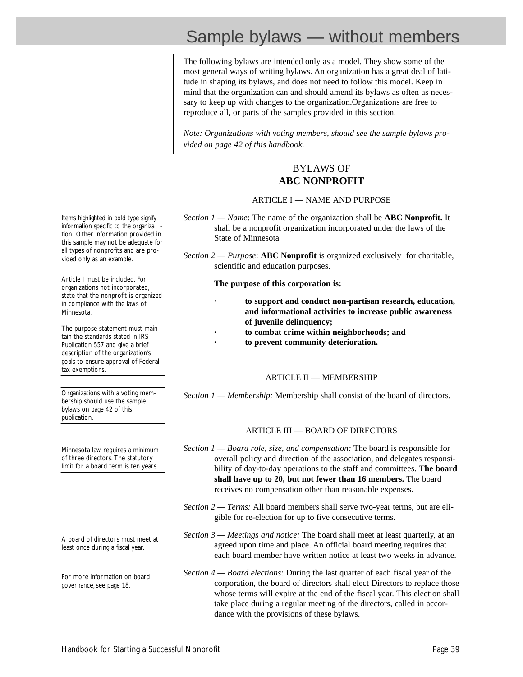# Sample bylaws — without members

The following bylaws are intended only as a model. They show some of the most general ways of writing bylaws. An organization has a great deal of latitude in shaping its bylaws, and does not need to follow this model. Keep in mind that the organization can and should amend its bylaws as often as necessary to keep up with changes to the organization.Organizations are free to reproduce all, or parts of the samples provided in this section.

*Note: Organizations with voting members, should see the sample bylaws provided on page 42 of this handbook.*

### BYLAWS OF **ABC NONPROFIT**

### ARTICLE I — NAME AND PURPOSE

- *Section 1 Name*: The name of the organization shall be **ABC Nonprofit.** It shall be a nonprofit organization incorporated under the laws of the State of Minnesota
- *Section 2 Purpose*: **ABC Nonprofit** is organized exclusively for charitable, scientific and education purposes.

#### **The purpose of this corporation is:**

- **· to support and conduct non-partisan research, education, and informational activities to increase public awareness of juvenile delinquency;**
	- **· to combat crime within neighborhoods; and**
- **· to prevent community deterioration.**

### ARTICLE II — MEMBERSHIP

*Section 1 — Membership:* Membership shall consist of the board of directors.

### ARTICLE III — BOARD OF DIRECTORS

- *Section 1 Board role, size, and compensation:* The board is responsible for overall policy and direction of the association, and delegates responsibility of day-to-day operations to the staff and committees. **The board shall have up to 20, but not fewer than 16 members.** The board receives no compensation other than reasonable expenses.
- *Section 2 Terms:* All board members shall serve two-year terms, but are eligible for re-election for up to five consecutive terms.
- *Section 3 Meetings and notice:* The board shall meet at least quarterly, at an agreed upon time and place. An official board meeting requires that each board member have written notice at least two weeks in advance.
- *Section 4 Board elections:* During the last quarter of each fiscal year of the corporation, the board of directors shall elect Directors to replace those whose terms will expire at the end of the fiscal year. This election shall take place during a regular meeting of the directors, called in accordance with the provisions of these bylaws.

Items highlighted in bold type signify information specific to the organiza tion. Other information provided in this sample may not be adequate for all types of nonprofits and are provided only as an example.

Article I must be included. For organizations not incorporated, state that the nonprofit is organized in compliance with the laws of Minnesota.

The purpose statement must maintain the standards stated in IRS Publication 557 and give a brief description of the organization's goals to ensure approval of Federal tax exemptions.

Organizations with a voting membership should use the sample bylaws on page 42 of this publication.

Minnesota law requires a minimum of three directors. The statutory limit for a board term is ten years.

A board of directors must meet at least once during a fiscal year.

For more information on board governance, see page 18.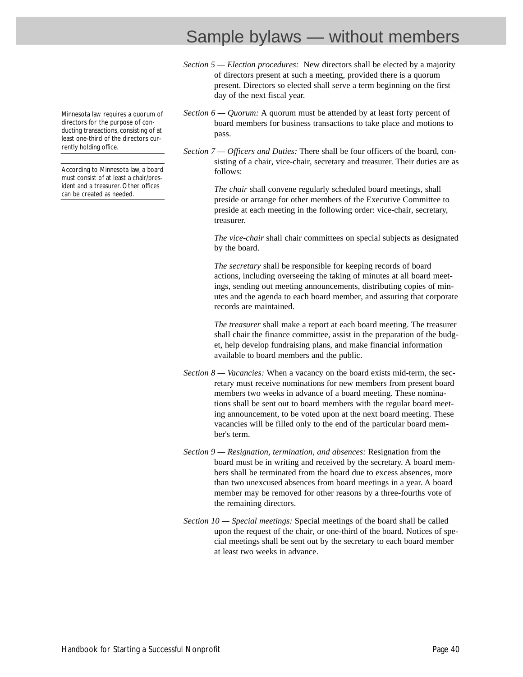## Sample bylaws — without members

*Section 5 — Election procedures:* New directors shall be elected by a majority of directors present at such a meeting, provided there is a quorum present. Directors so elected shall serve a term beginning on the first day of the next fiscal year.

- *Section 6 Quorum:* A quorum must be attended by at least forty percent of board members for business transactions to take place and motions to pass.
- *Section 7 Officers and Duties:* There shall be four officers of the board, consisting of a chair, vice-chair, secretary and treasurer. Their duties are as follows:

*The chair* shall convene regularly scheduled board meetings, shall preside or arrange for other members of the Executive Committee to preside at each meeting in the following order: vice-chair, secretary, treasurer.

*The vice-chair* shall chair committees on special subjects as designated by the board.

*The secretary* shall be responsible for keeping records of board actions, including overseeing the taking of minutes at all board meetings, sending out meeting announcements, distributing copies of minutes and the agenda to each board member, and assuring that corporate records are maintained.

*The treasurer* shall make a report at each board meeting. The treasurer shall chair the finance committee, assist in the preparation of the budget, help develop fundraising plans, and make financial information available to board members and the public.

- *Section 8 — Vacancies:* When a vacancy on the board exists mid-term, the secretary must receive nominations for new members from present board members two weeks in advance of a board meeting. These nominations shall be sent out to board members with the regular board meeting announcement, to be voted upon at the next board meeting. These vacancies will be filled only to the end of the particular board member's term.
- *Section 9 Resignation, termination, and absences:* Resignation from the board must be in writing and received by the secretary. A board members shall be terminated from the board due to excess absences, more than two unexcused absences from board meetings in a year. A board member may be removed for other reasons by a three-fourths vote of the remaining directors.
- *Section 10 Special meetings:* Special meetings of the board shall be called upon the request of the chair, or one-third of the board. Notices of special meetings shall be sent out by the secretary to each board member at least two weeks in advance.

Minnesota law requires a quorum of directors for the purpose of conducting transactions, consisting of at least one-third of the directors currently holding office.

According to Minnesota law, a board must consist of at least a chair/president and a treasurer. Other offices can be created as needed.